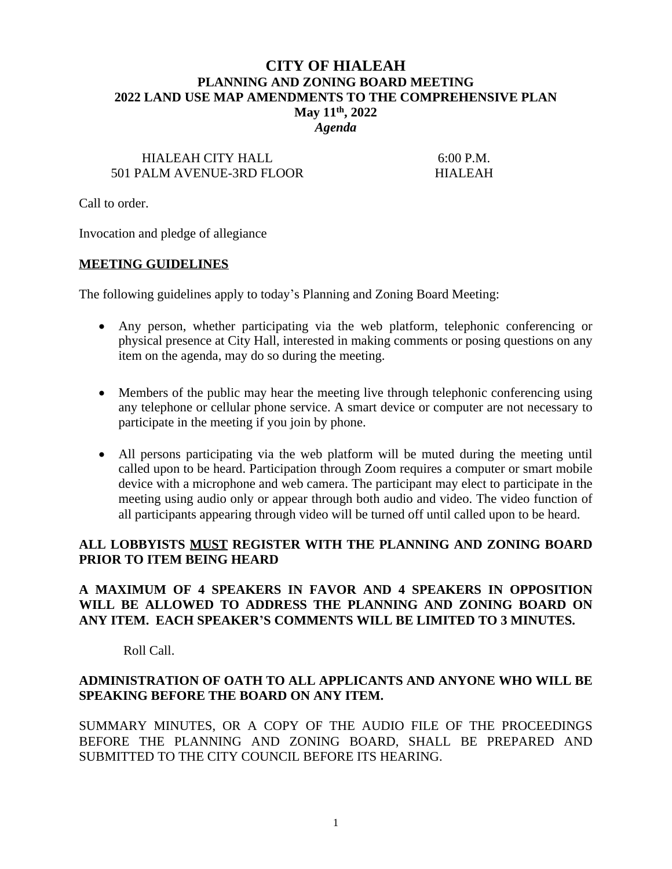## **CITY OF HIALEAH PLANNING AND ZONING BOARD MEETING 2022 LAND USE MAP AMENDMENTS TO THE COMPREHENSIVE PLAN May 11th, 2022** *Agenda*

# HIALEAH CITY HALL 6:00 P.M. 501 PALM AVENUE-3RD FLOOR HIALEAH

Call to order.

Invocation and pledge of allegiance

#### **MEETING GUIDELINES**

The following guidelines apply to today's Planning and Zoning Board Meeting:

- Any person, whether participating via the web platform, telephonic conferencing or physical presence at City Hall, interested in making comments or posing questions on any item on the agenda, may do so during the meeting.
- Members of the public may hear the meeting live through telephonic conferencing using any telephone or cellular phone service. A smart device or computer are not necessary to participate in the meeting if you join by phone.
- All persons participating via the web platform will be muted during the meeting until called upon to be heard. Participation through Zoom requires a computer or smart mobile device with a microphone and web camera. The participant may elect to participate in the meeting using audio only or appear through both audio and video. The video function of all participants appearing through video will be turned off until called upon to be heard.

### **ALL LOBBYISTS MUST REGISTER WITH THE PLANNING AND ZONING BOARD PRIOR TO ITEM BEING HEARD**

## **A MAXIMUM OF 4 SPEAKERS IN FAVOR AND 4 SPEAKERS IN OPPOSITION WILL BE ALLOWED TO ADDRESS THE PLANNING AND ZONING BOARD ON ANY ITEM. EACH SPEAKER'S COMMENTS WILL BE LIMITED TO 3 MINUTES.**

Roll Call.

### **ADMINISTRATION OF OATH TO ALL APPLICANTS AND ANYONE WHO WILL BE SPEAKING BEFORE THE BOARD ON ANY ITEM.**

SUMMARY MINUTES, OR A COPY OF THE AUDIO FILE OF THE PROCEEDINGS BEFORE THE PLANNING AND ZONING BOARD, SHALL BE PREPARED AND SUBMITTED TO THE CITY COUNCIL BEFORE ITS HEARING.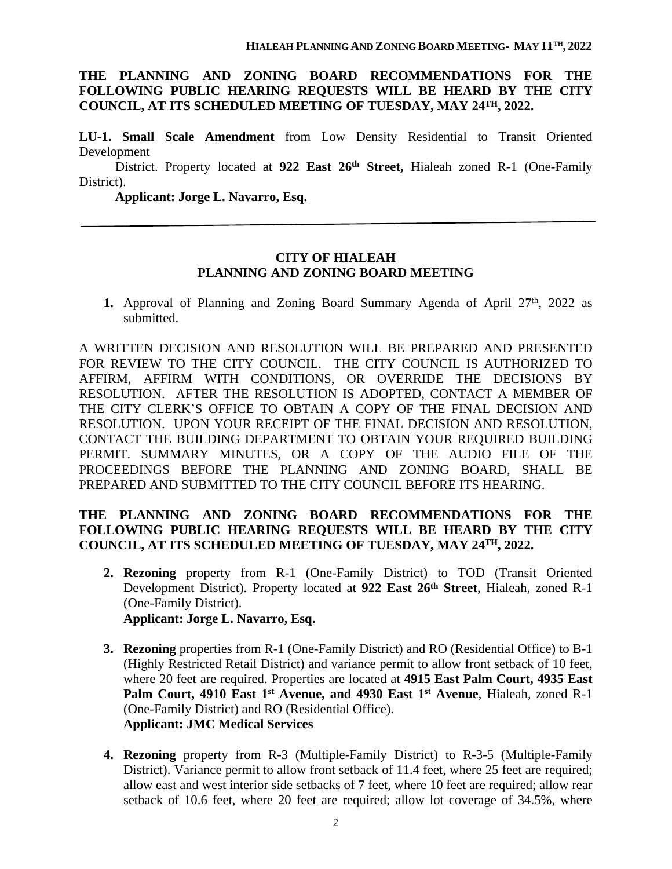## **THE PLANNING AND ZONING BOARD RECOMMENDATIONS FOR THE FOLLOWING PUBLIC HEARING REQUESTS WILL BE HEARD BY THE CITY COUNCIL, AT ITS SCHEDULED MEETING OF TUESDAY, MAY 24TH, 2022.**

**LU-1. Small Scale Amendment** from Low Density Residential to Transit Oriented Development

District. Property located at **922 East 26th Street,** Hialeah zoned R-1 (One-Family District).

**Applicant: Jorge L. Navarro, Esq.**

#### **CITY OF HIALEAH PLANNING AND ZONING BOARD MEETING**

1. Approval of Planning and Zoning Board Summary Agenda of April 27<sup>th</sup>, 2022 as submitted.

A WRITTEN DECISION AND RESOLUTION WILL BE PREPARED AND PRESENTED FOR REVIEW TO THE CITY COUNCIL. THE CITY COUNCIL IS AUTHORIZED TO AFFIRM, AFFIRM WITH CONDITIONS, OR OVERRIDE THE DECISIONS BY RESOLUTION. AFTER THE RESOLUTION IS ADOPTED, CONTACT A MEMBER OF THE CITY CLERK'S OFFICE TO OBTAIN A COPY OF THE FINAL DECISION AND RESOLUTION. UPON YOUR RECEIPT OF THE FINAL DECISION AND RESOLUTION, CONTACT THE BUILDING DEPARTMENT TO OBTAIN YOUR REQUIRED BUILDING PERMIT. SUMMARY MINUTES, OR A COPY OF THE AUDIO FILE OF THE PROCEEDINGS BEFORE THE PLANNING AND ZONING BOARD, SHALL BE PREPARED AND SUBMITTED TO THE CITY COUNCIL BEFORE ITS HEARING.

# **THE PLANNING AND ZONING BOARD RECOMMENDATIONS FOR THE FOLLOWING PUBLIC HEARING REQUESTS WILL BE HEARD BY THE CITY COUNCIL, AT ITS SCHEDULED MEETING OF TUESDAY, MAY 24TH, 2022.**

- **2. Rezoning** property from R-1 (One-Family District) to TOD (Transit Oriented Development District). Property located at **922 East 26th Street**, Hialeah, zoned R-1 (One-Family District). **Applicant: Jorge L. Navarro, Esq.**
- **3. Rezoning** properties from R-1 (One-Family District) and RO (Residential Office) to B-1 (Highly Restricted Retail District) and variance permit to allow front setback of 10 feet, where 20 feet are required. Properties are located at **4915 East Palm Court, 4935 East Palm Court, 4910 East 1 st Avenue, and 4930 East 1 st Avenue**, Hialeah, zoned R-1 (One-Family District) and RO (Residential Office). **Applicant: JMC Medical Services**
- **4. Rezoning** property from R-3 (Multiple-Family District) to R-3-5 (Multiple-Family District). Variance permit to allow front setback of 11.4 feet, where 25 feet are required; allow east and west interior side setbacks of 7 feet, where 10 feet are required; allow rear setback of 10.6 feet, where 20 feet are required; allow lot coverage of 34.5%, where